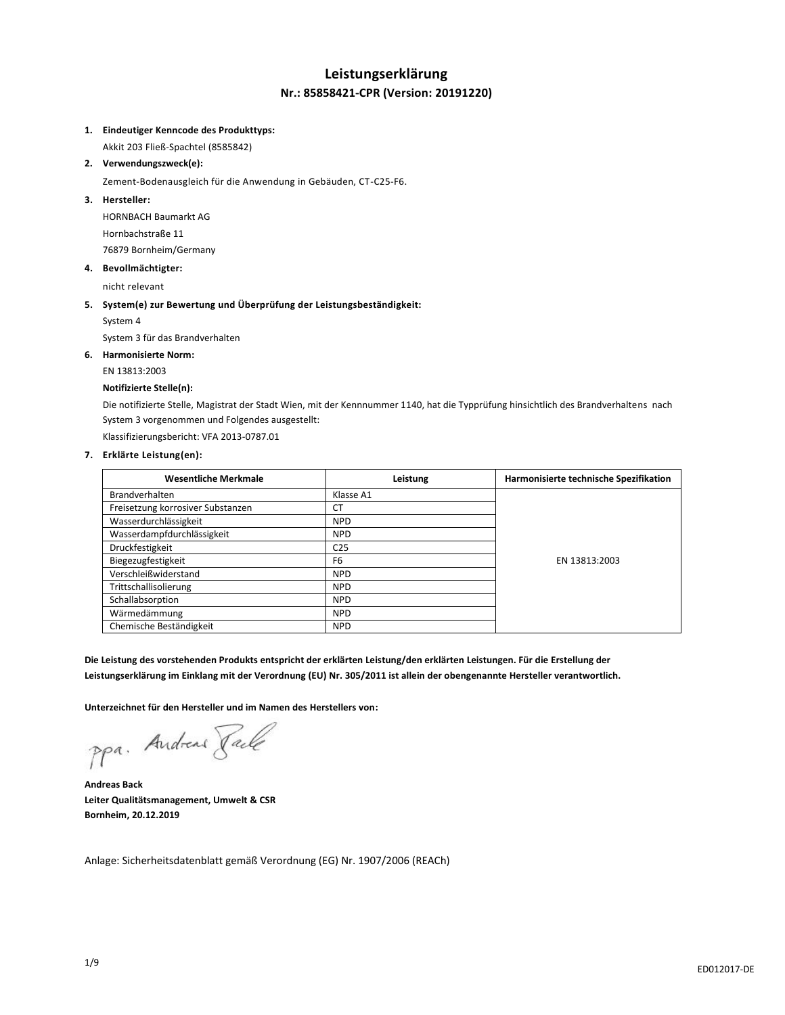## **Leistungserklärung Nr.: 85858421-CPR (Version: 20191220)**

#### **1. Eindeutiger Kenncode des Produkttyps:**

Akkit 203 Fließ-Spachtel (8585842)

**2. Verwendungszweck(e):**

Zement-Bodenausgleich für die Anwendung in Gebäuden, CT-C25-F6.

#### **3. Hersteller:**

HORNBACH Baumarkt AG Hornbachstraße 11 76879 Bornheim/Germany

**4. Bevollmächtigter:**

nicht relevant

## **5. System(e) zur Bewertung und Überprüfung der Leistungsbeständigkeit:**

System 4

System 3 für das Brandverhalten

#### **6. Harmonisierte Norm:**

EN 13813:2003

#### **Notifizierte Stelle(n):**

Die notifizierte Stelle, Magistrat der Stadt Wien, mit der Kennnummer 1140, hat die Typprüfung hinsichtlich des Brandverhaltens nach System 3 vorgenommen und Folgendes ausgestellt:

Klassifizierungsbericht: VFA 2013-0787.01

#### **7. Erklärte Leistung(en):**

| <b>Wesentliche Merkmale</b>       | Leistung        | Harmonisierte technische Spezifikation |
|-----------------------------------|-----------------|----------------------------------------|
| Brandverhalten                    | Klasse A1       |                                        |
| Freisetzung korrosiver Substanzen | СT              |                                        |
| Wasserdurchlässigkeit             | <b>NPD</b>      |                                        |
| Wasserdampfdurchlässigkeit        | <b>NPD</b>      |                                        |
| Druckfestigkeit                   | C <sub>25</sub> |                                        |
| Biegezugfestigkeit                | F <sub>6</sub>  | EN 13813:2003                          |
| Verschleißwiderstand              | <b>NPD</b>      |                                        |
| Trittschallisolierung             | <b>NPD</b>      |                                        |
| Schallabsorption                  | <b>NPD</b>      |                                        |
| Wärmedämmung                      | <b>NPD</b>      |                                        |
| Chemische Beständigkeit           | <b>NPD</b>      |                                        |

**Die Leistung des vorstehenden Produkts entspricht der erklärten Leistung/den erklärten Leistungen. Für die Erstellung der Leistungserklärung im Einklang mit der Verordnung (EU) Nr. 305/2011 ist allein der obengenannte Hersteller verantwortlich.**

**Unterzeichnet für den Hersteller und im Namen des Herstellers von:**

ppa. Andreas Fack

**Andreas Back Leiter Qualitätsmanagement, Umwelt & CSR Bornheim, 20.12.2019**

Anlage: Sicherheitsdatenblatt gemäß Verordnung (EG) Nr. 1907/2006 (REACh)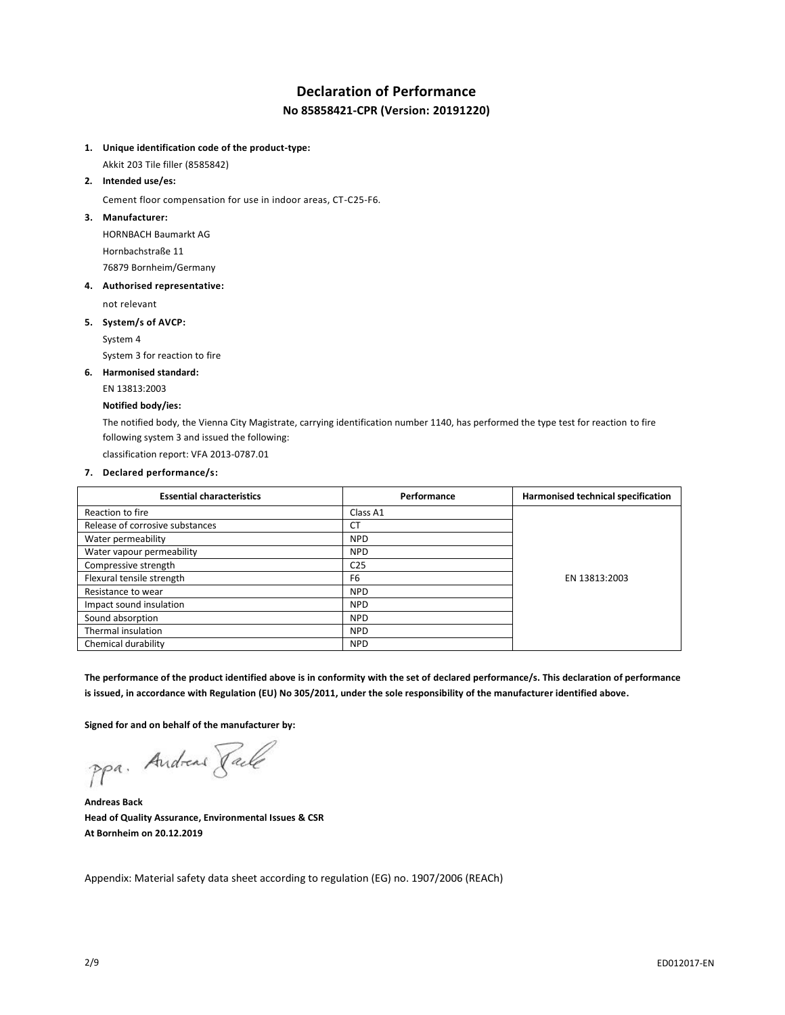# **Declaration of Performance**

**No 85858421-CPR (Version: 20191220)**

## **1. Unique identification code of the product-type:**

Akkit 203 Tile filler (8585842)

#### **2. Intended use/es:**

Cement floor compensation for use in indoor areas, CT-C25-F6.

### **3. Manufacturer:**

HORNBACH Baumarkt AG Hornbachstraße 11 76879 Bornheim/Germany

#### **4. Authorised representative:**

not relevant

#### **5. System/s of AVCP:**

System 4

System 3 for reaction to fire

## **6. Harmonised standard:**

EN 13813:2003

#### **Notified body/ies:**

The notified body, the Vienna City Magistrate, carrying identification number 1140, has performed the type test for reaction to fire following system 3 and issued the following:

classification report: VFA 2013-0787.01

## **7. Declared performance/s:**

| <b>Essential characteristics</b> | Performance     | Harmonised technical specification |
|----------------------------------|-----------------|------------------------------------|
| Reaction to fire                 | Class A1        |                                    |
| Release of corrosive substances  | СT              |                                    |
| Water permeability               | <b>NPD</b>      |                                    |
| Water vapour permeability        | <b>NPD</b>      |                                    |
| Compressive strength             | C <sub>25</sub> |                                    |
| Flexural tensile strength        | F <sub>6</sub>  | EN 13813:2003                      |
| Resistance to wear               | <b>NPD</b>      |                                    |
| Impact sound insulation          | <b>NPD</b>      |                                    |
| Sound absorption                 | <b>NPD</b>      |                                    |
| Thermal insulation               | <b>NPD</b>      |                                    |
| Chemical durability              | <b>NPD</b>      |                                    |

**The performance of the product identified above is in conformity with the set of declared performance/s. This declaration of performance is issued, in accordance with Regulation (EU) No 305/2011, under the sole responsibility of the manufacturer identified above.**

**Signed for and on behalf of the manufacturer by:**

ppa. Andreas Face

**Andreas Back Head of Quality Assurance, Environmental Issues & CSR At Bornheim on 20.12.2019**

Appendix: Material safety data sheet according to regulation (EG) no. 1907/2006 (REACh)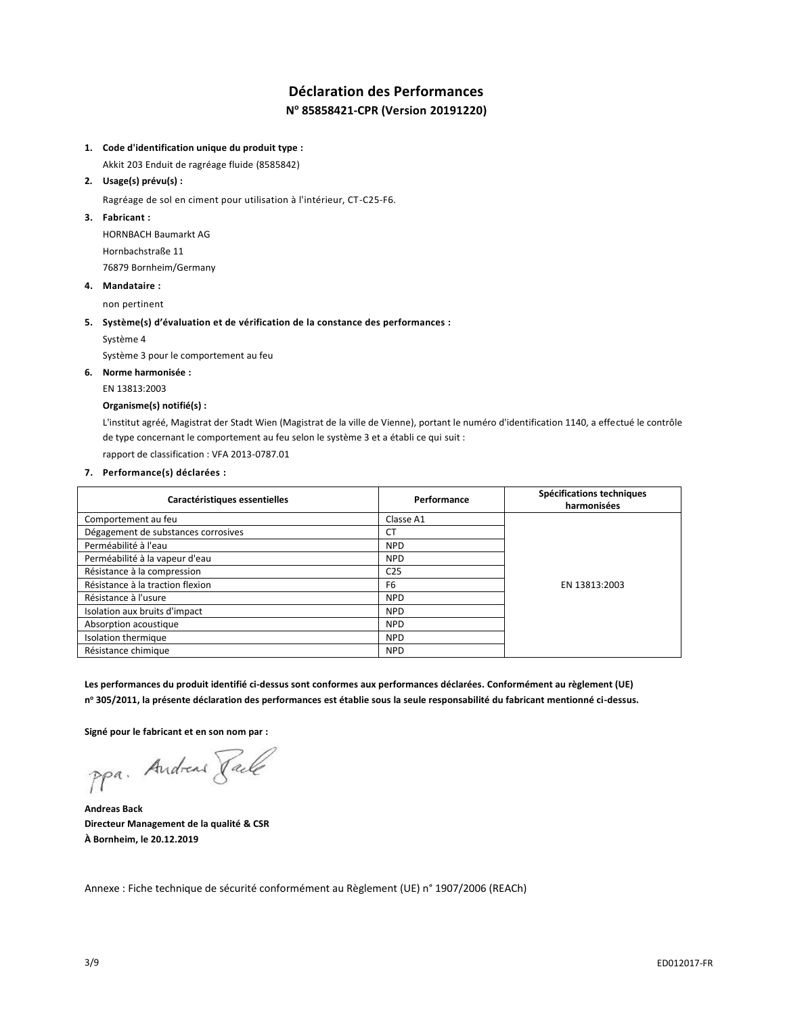## **Déclaration des Performances N <sup>o</sup> 85858421-CPR (Version 20191220)**

## **1. Code d'identification unique du produit type :**

Akkit 203 Enduit de ragréage fluide (8585842)

## **2. Usage(s) prévu(s) :**

Ragréage de sol en ciment pour utilisation à l'intérieur, CT-C25-F6.

## **3. Fabricant :**

HORNBACH Baumarkt AG Hornbachstraße 11 76879 Bornheim/Germany

#### **4. Mandataire :**

non pertinent

#### **5. Système(s) d'évaluation et de vérification de la constance des performances :**

Système 4

Système 3 pour le comportement au feu

## **6. Norme harmonisée :**

EN 13813:2003

## **Organisme(s) notifié(s) :**

L'institut agréé, Magistrat der Stadt Wien (Magistrat de la ville de Vienne), portant le numéro d'identification 1140, a effectué le contrôle de type concernant le comportement au feu selon le système 3 et a établi ce qui suit : rapport de classification : VFA 2013-0787.01

## **7. Performance(s) déclarées :**

| Caractéristiques essentielles       | Performance     | Spécifications techniques<br>harmonisées |
|-------------------------------------|-----------------|------------------------------------------|
| Comportement au feu                 | Classe A1       |                                          |
| Dégagement de substances corrosives | СT              |                                          |
| Perméabilité à l'eau                | <b>NPD</b>      |                                          |
| Perméabilité à la vapeur d'eau      | <b>NPD</b>      |                                          |
| Résistance à la compression         | C <sub>25</sub> |                                          |
| Résistance à la traction flexion    | F <sub>6</sub>  | EN 13813:2003                            |
| Résistance à l'usure                | <b>NPD</b>      |                                          |
| Isolation aux bruits d'impact       | <b>NPD</b>      |                                          |
| Absorption acoustique               | <b>NPD</b>      |                                          |
| Isolation thermique                 | <b>NPD</b>      |                                          |
| Résistance chimique                 | <b>NPD</b>      |                                          |

**Les performances du produit identifié ci-dessus sont conformes aux performances déclarées. Conformément au règlement (UE) n <sup>o</sup> 305/2011, la présente déclaration des performances est établie sous la seule responsabilité du fabricant mentionné ci-dessus.**

**Signé pour le fabricant et en son nom par :**

ppa. Andreas Paule

**Andreas Back Directeur Management de la qualité & CSR À Bornheim, le 20.12.2019**

Annexe : Fiche technique de sécurité conformément au Règlement (UE) n° 1907/2006 (REACh)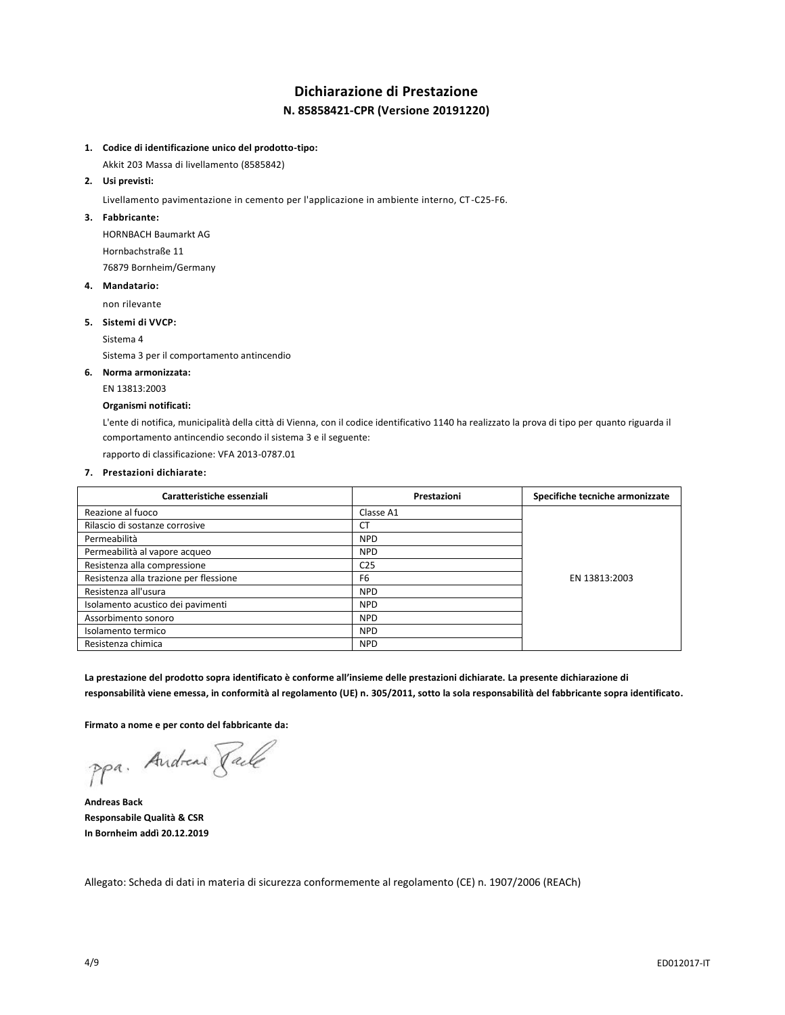## **Dichiarazione di Prestazione N. 85858421-CPR (Versione 20191220)**

## **1. Codice di identificazione unico del prodotto-tipo:**

Akkit 203 Massa di livellamento (8585842)

## **2. Usi previsti:**

Livellamento pavimentazione in cemento per l'applicazione in ambiente interno, CT-C25-F6.

#### **3. Fabbricante:**

HORNBACH Baumarkt AG Hornbachstraße 11 76879 Bornheim/Germany

#### **4. Mandatario:**

non rilevante

#### **5. Sistemi di VVCP:**

Sistema 4

Sistema 3 per il comportamento antincendio

#### **6. Norma armonizzata:**

EN 13813:2003

#### **Organismi notificati:**

L'ente di notifica, municipalità della città di Vienna, con il codice identificativo 1140 ha realizzato la prova di tipo per quanto riguarda il comportamento antincendio secondo il sistema 3 e il seguente:

rapporto di classificazione: VFA 2013-0787.01

## **7. Prestazioni dichiarate:**

| Caratteristiche essenziali             | Prestazioni     | Specifiche tecniche armonizzate |
|----------------------------------------|-----------------|---------------------------------|
| Reazione al fuoco                      | Classe A1       |                                 |
| Rilascio di sostanze corrosive         | CT              |                                 |
| Permeabilità                           | <b>NPD</b>      |                                 |
| Permeabilità al vapore acqueo          | <b>NPD</b>      |                                 |
| Resistenza alla compressione           | C <sub>25</sub> |                                 |
| Resistenza alla trazione per flessione | F <sub>6</sub>  | EN 13813:2003                   |
| Resistenza all'usura                   | <b>NPD</b>      |                                 |
| Isolamento acustico dei pavimenti      | <b>NPD</b>      |                                 |
| Assorbimento sonoro                    | <b>NPD</b>      |                                 |
| Isolamento termico                     | <b>NPD</b>      |                                 |
| Resistenza chimica                     | <b>NPD</b>      |                                 |

**La prestazione del prodotto sopra identificato è conforme all'insieme delle prestazioni dichiarate. La presente dichiarazione di responsabilità viene emessa, in conformità al regolamento (UE) n. 305/2011, sotto la sola responsabilità del fabbricante sopra identificato.**

**Firmato a nome e per conto del fabbricante da:**

ppa. Andreas Faile

**Andreas Back Responsabile Qualità & CSR In Bornheim addì 20.12.2019**

Allegato: Scheda di dati in materia di sicurezza conformemente al regolamento (CE) n. 1907/2006 (REACh)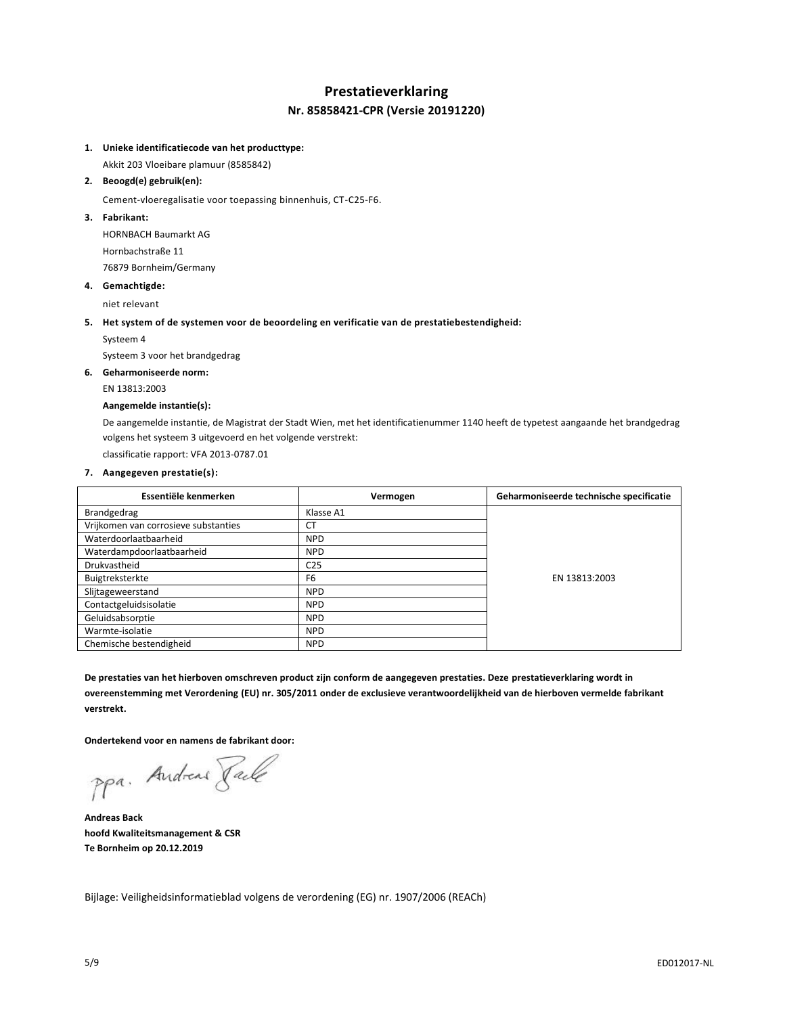## **Prestatieverklaring Nr. 85858421-CPR (Versie 20191220)**

## **1. Unieke identificatiecode van het producttype:**

Akkit 203 Vloeibare plamuur (8585842)

#### **2. Beoogd(e) gebruik(en):**

Cement-vloeregalisatie voor toepassing binnenhuis, CT-C25-F6.

### **3. Fabrikant:**

HORNBACH Baumarkt AG Hornbachstraße 11 76879 Bornheim/Germany

#### **4. Gemachtigde:**

niet relevant

#### **5. Het system of de systemen voor de beoordeling en verificatie van de prestatiebestendigheid:**

Systeem 4

Systeem 3 voor het brandgedrag

## **6. Geharmoniseerde norm:**

EN 13813:2003

#### **Aangemelde instantie(s):**

De aangemelde instantie, de Magistrat der Stadt Wien, met het identificatienummer 1140 heeft de typetest aangaande het brandgedrag volgens het systeem 3 uitgevoerd en het volgende verstrekt:

classificatie rapport: VFA 2013-0787.01

## **7. Aangegeven prestatie(s):**

| Essentiële kenmerken                 | Vermogen        | Geharmoniseerde technische specificatie |
|--------------------------------------|-----------------|-----------------------------------------|
| Brandgedrag                          | Klasse A1       |                                         |
| Vrijkomen van corrosieve substanties | <b>CT</b>       |                                         |
| Waterdoorlaatbaarheid                | <b>NPD</b>      |                                         |
| Waterdampdoorlaatbaarheid            | <b>NPD</b>      |                                         |
| Drukvastheid                         | C <sub>25</sub> |                                         |
| Buigtreksterkte                      | F <sub>6</sub>  | EN 13813:2003                           |
| Slijtageweerstand                    | <b>NPD</b>      |                                         |
| Contactgeluidsisolatie               | <b>NPD</b>      |                                         |
| Geluidsabsorptie                     | <b>NPD</b>      |                                         |
| Warmte-isolatie                      | <b>NPD</b>      |                                         |
| Chemische bestendigheid              | <b>NPD</b>      |                                         |

**De prestaties van het hierboven omschreven product zijn conform de aangegeven prestaties. Deze prestatieverklaring wordt in overeenstemming met Verordening (EU) nr. 305/2011 onder de exclusieve verantwoordelijkheid van de hierboven vermelde fabrikant verstrekt.**

**Ondertekend voor en namens de fabrikant door:**

ppa. Andreas Pale

**Andreas Back hoofd Kwaliteitsmanagement & CSR Te Bornheim op 20.12.2019**

Bijlage: Veiligheidsinformatieblad volgens de verordening (EG) nr. 1907/2006 (REACh)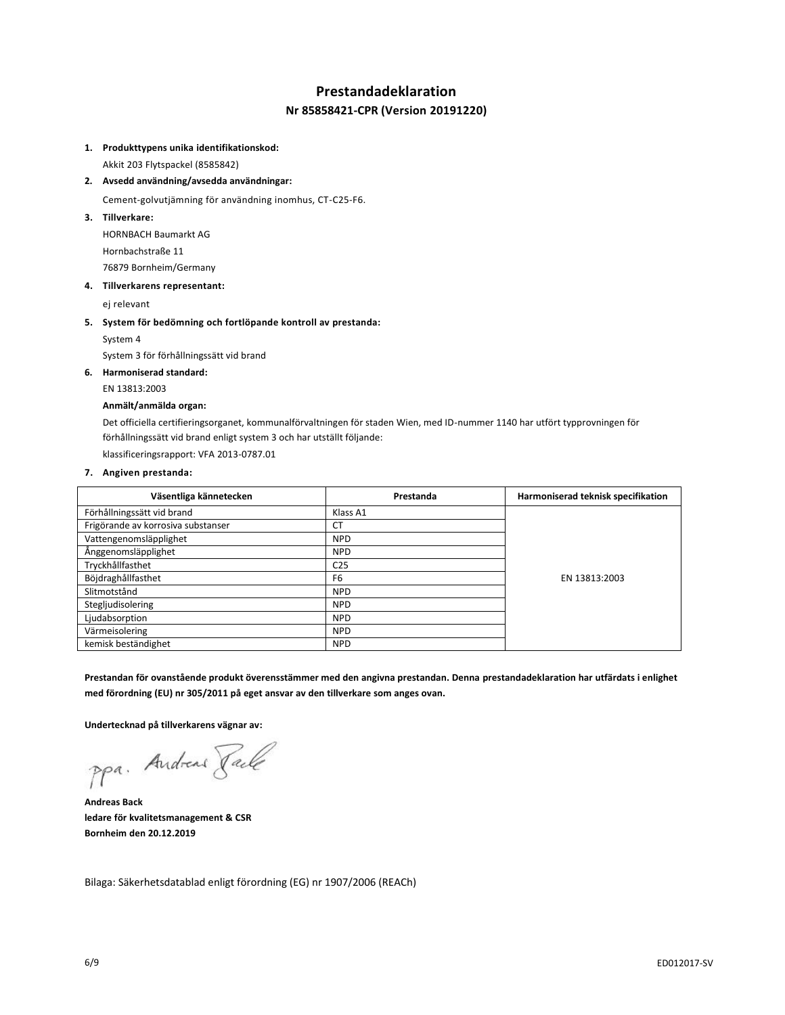## **Prestandadeklaration**

## **Nr 85858421-CPR (Version 20191220)**

#### **1. Produkttypens unika identifikationskod:**

Akkit 203 Flytspackel (8585842)

**2. Avsedd användning/avsedda användningar:**

Cement-golvutjämning för användning inomhus, CT-C25-F6.

**3. Tillverkare:**

HORNBACH Baumarkt AG Hornbachstraße 11 76879 Bornheim/Germany

#### **4. Tillverkarens representant:**

ej relevant

#### **5. System för bedömning och fortlöpande kontroll av prestanda:**

System 4

System 3 för förhållningssätt vid brand

## **6. Harmoniserad standard:**

EN 13813:2003

#### **Anmält/anmälda organ:**

Det officiella certifieringsorganet, kommunalförvaltningen för staden Wien, med ID-nummer 1140 har utfört typprovningen för förhållningssätt vid brand enligt system 3 och har utställt följande: klassificeringsrapport: VFA 2013-0787.01

**7. Angiven prestanda:**

| Väsentliga kännetecken             | Prestanda       | Harmoniserad teknisk specifikation |
|------------------------------------|-----------------|------------------------------------|
| Förhållningssätt vid brand         | Klass A1        |                                    |
| Frigörande av korrosiva substanser | <b>CT</b>       |                                    |
| Vattengenomsläpplighet             | <b>NPD</b>      |                                    |
| Ånggenomsläpplighet                | <b>NPD</b>      |                                    |
| Tryckhållfasthet                   | C <sub>25</sub> | EN 13813:2003                      |
| Böjdraghållfasthet                 | F <sub>6</sub>  |                                    |
| Slitmotstånd                       | <b>NPD</b>      |                                    |
| Stegljudisolering                  | <b>NPD</b>      |                                    |
| Ljudabsorption                     | <b>NPD</b>      |                                    |
| Värmeisolering                     | <b>NPD</b>      |                                    |
| kemisk beständighet                | <b>NPD</b>      |                                    |

**Prestandan för ovanstående produkt överensstämmer med den angivna prestandan. Denna prestandadeklaration har utfärdats i enlighet med förordning (EU) nr 305/2011 på eget ansvar av den tillverkare som anges ovan.**

**Undertecknad på tillverkarens vägnar av:**

ppa. Andreas Paule

**Andreas Back ledare för kvalitetsmanagement & CSR Bornheim den 20.12.2019**

Bilaga: Säkerhetsdatablad enligt förordning (EG) nr 1907/2006 (REACh)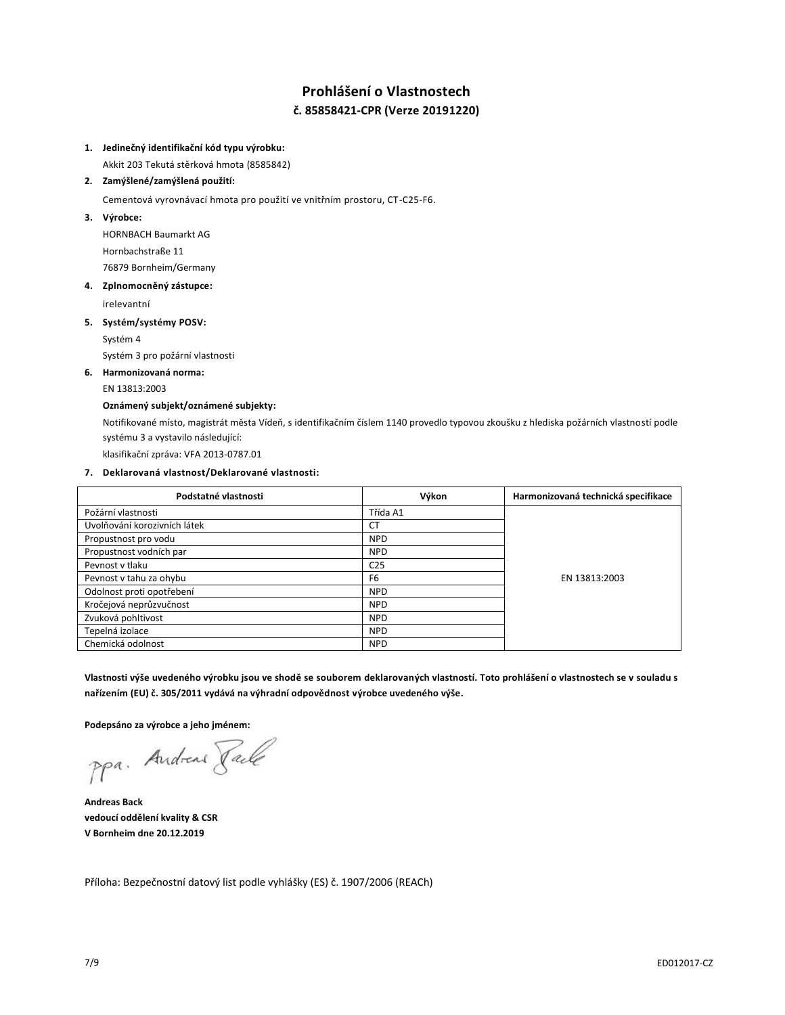## **Prohlášení o Vlastnostech č. 85858421-CPR (Verze 20191220)**

#### **1. Jedinečný identifikační kód typu výrobku:**

Akkit 203 Tekutá stěrková hmota (8585842)

#### **2. Zamýšlené/zamýšlená použití:**

Cementová vyrovnávací hmota pro použití ve vnitřním prostoru, CT-C25-F6.

**3. Výrobce:**

HORNBACH Baumarkt AG Hornbachstraße 11 76879 Bornheim/Germany

#### **4. Zplnomocněný zástupce:**

irelevantní

## **5. Systém/systémy POSV:**

Systém 4

Systém 3 pro požární vlastnosti

## **6. Harmonizovaná norma:**

EN 13813:2003

## **Oznámený subjekt/oznámené subjekty:**

Notifikované místo, magistrát města Vídeň, s identifikačním číslem 1140 provedlo typovou zkoušku z hlediska požárních vlastností podle systému 3 a vystavilo následující:

klasifikační zpráva: VFA 2013-0787.01

## **7. Deklarovaná vlastnost/Deklarované vlastnosti:**

| Podstatné vlastnosti         | Výkon           | Harmonizovaná technická specifikace |
|------------------------------|-----------------|-------------------------------------|
| Požární vlastnosti           | Třída A1        |                                     |
| Uvolňování korozivních látek | <b>CT</b>       |                                     |
| Propustnost pro vodu         | <b>NPD</b>      |                                     |
| Propustnost vodních par      | <b>NPD</b>      |                                     |
| Peynost y tlaku              | C <sub>25</sub> |                                     |
| Pevnost v tahu za ohybu      | F <sub>6</sub>  | EN 13813:2003                       |
| Odolnost proti opotřebení    | <b>NPD</b>      |                                     |
| Kročejová neprůzvučnost      | <b>NPD</b>      |                                     |
| Zvuková pohltivost           | <b>NPD</b>      |                                     |
| Tepelná izolace              | <b>NPD</b>      |                                     |
| Chemická odolnost            | <b>NPD</b>      |                                     |

**Vlastnosti výše uvedeného výrobku jsou ve shodě se souborem deklarovaných vlastností. Toto prohlášení o vlastnostech se v souladu s nařízením (EU) č. 305/2011 vydává na výhradní odpovědnost výrobce uvedeného výše.**

**Podepsáno za výrobce a jeho jménem:**

ppa. Andreas Face

**Andreas Back vedoucí oddělení kvality & CSR V Bornheim dne 20.12.2019**

Příloha: Bezpečnostní datový list podle vyhlášky (ES) č. 1907/2006 (REACh)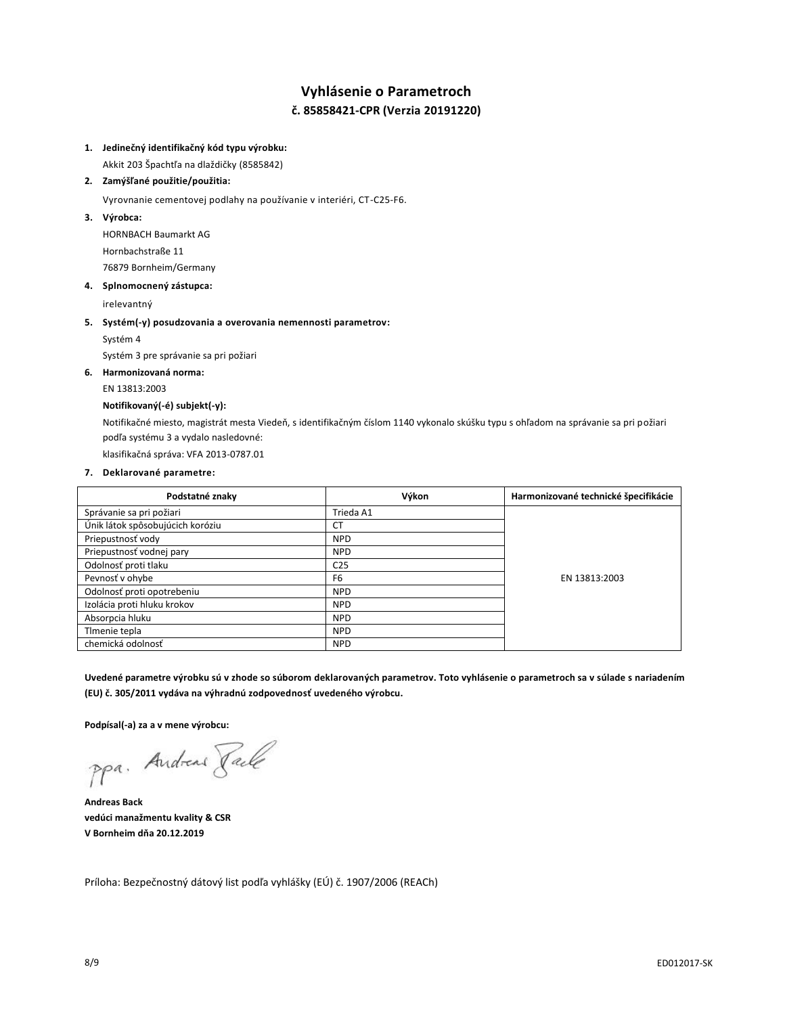## **Vyhlásenie o Parametroch č. 85858421-CPR (Verzia 20191220)**

## **1. Jedinečný identifikačný kód typu výrobku:**

Akkit 203 Špachtľa na dlaždičky (8585842)

### **2. Zamýšľané použitie/použitia:**

Vyrovnanie cementovej podlahy na používanie v interiéri, CT-C25-F6.

**3. Výrobca:**

HORNBACH Baumarkt AG Hornbachstraße 11 76879 Bornheim/Germany

#### **4. Splnomocnený zástupca:**

irelevantný

#### **5. Systém(-y) posudzovania a overovania nemennosti parametrov:**

Systém 4

Systém 3 pre správanie sa pri požiari

## **6. Harmonizovaná norma:**

EN 13813:2003

## **Notifikovaný(-é) subjekt(-y):**

Notifikačné miesto, magistrát mesta Viedeň, s identifikačným číslom 1140 vykonalo skúšku typu s ohľadom na správanie sa pri požiari podľa systému 3 a vydalo nasledovné:

klasifikačná správa: VFA 2013-0787.01

## **7. Deklarované parametre:**

| Podstatné znaky                  | Výkon           | Harmonizované technické špecifikácie |
|----------------------------------|-----------------|--------------------------------------|
| Správanie sa pri požiari         | Trieda A1       |                                      |
| Únik látok spôsobujúcich koróziu | <b>CT</b>       |                                      |
| Priepustnosť vody                | <b>NPD</b>      |                                      |
| Priepustnosť vodnej pary         | <b>NPD</b>      |                                      |
| Odolnosť proti tlaku             | C <sub>25</sub> |                                      |
| Pevnosť v ohybe                  | F <sub>6</sub>  | EN 13813:2003                        |
| Odolnosť proti opotrebeniu       | <b>NPD</b>      |                                      |
| Izolácia proti hluku krokov      | <b>NPD</b>      |                                      |
| Absorpcia hluku                  | <b>NPD</b>      |                                      |
| Timenie tepla                    | <b>NPD</b>      |                                      |
| chemická odolnosť                | <b>NPD</b>      |                                      |

**Uvedené parametre výrobku sú v zhode so súborom deklarovaných parametrov. Toto vyhlásenie o parametroch sa v súlade s nariadením (EU) č. 305/2011 vydáva na výhradnú zodpovednosť uvedeného výrobcu.**

**Podpísal(-a) za a v mene výrobcu:**

ppa. Andreas Face

**Andreas Back vedúci manažmentu kvality & CSR V Bornheim dňa 20.12.2019**

Príloha: Bezpečnostný dátový list podľa vyhlášky (EÚ) č. 1907/2006 (REACh)